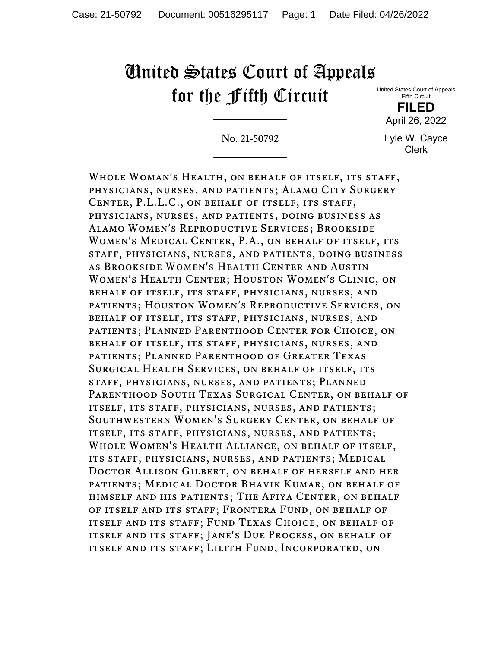## United States Court of Appeals for the Fifth Circuit

United States Court of Appeals Fifth Circuit

**FILED** April 26, 2022

No. 21-50792

Lyle W. Cayce Clerk

Whole Woman's Health, on behalf of itself, its staff, physicians, nurses, and patients; Alamo City Surgery Center, P.L.L.C., on behalf of itself, its staff, physicians, nurses, and patients, doing business as Alamo Women's Reproductive Services; Brookside Women's Medical Center, P.A., on behalf of itself, its staff, physicians, nurses, and patients, doing business as Brookside Women's Health Center and Austin Women's Health Center; Houston Women's Clinic, on behalf of itself, its staff, physicians, nurses, and patients; Houston Women's Reproductive Services, on behalf of itself, its staff, physicians, nurses, and patients; Planned Parenthood Center for Choice, on behalf of itself, its staff, physicians, nurses, and patients; Planned Parenthood of Greater Texas Surgical Health Services, on behalf of itself, its staff, physicians, nurses, and patients; Planned Parenthood South Texas Surgical Center, on behalf of itself, its staff, physicians, nurses, and patients; Southwestern Women's Surgery Center, on behalf of itself, its staff, physicians, nurses, and patients; Whole Women's Health Alliance, on behalf of itself, its staff, physicians, nurses, and patients; Medical Doctor Allison Gilbert, on behalf of herself and her patients; Medical Doctor Bhavik Kumar, on behalf of himself and his patients; The Afiya Center, on behalf of itself and its staff; Frontera Fund, on behalf of itself and its staff; Fund Texas Choice, on behalf of itself and its staff; Jane's Due Process, on behalf of itself and its staff; Lilith Fund, Incorporated, on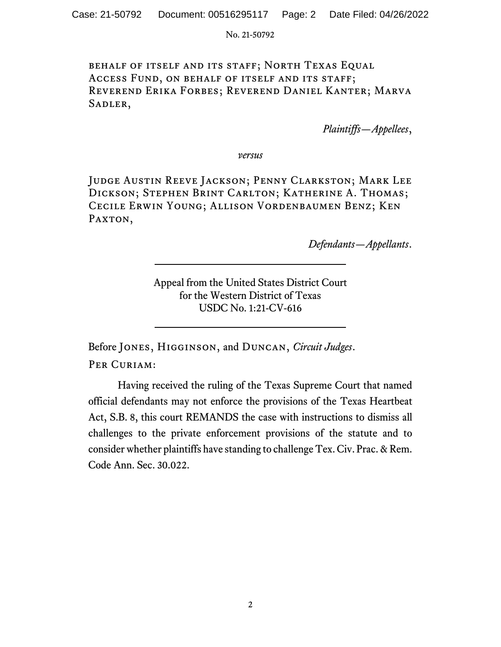No. 21-50792

behalf of itself and its staff; North Texas Equal Access Fund, on behalf of itself and its staff; Reverend Erika Forbes; Reverend Daniel Kanter; Marva SADLER,

*Plaintiffs—Appellees*,

*versus*

Judge Austin Reeve Jackson; Penny Clarkston; Mark Lee Dickson; Stephen Brint Carlton; Katherine A. Thomas; Cecile Erwin Young; Allison Vordenbaumen Benz; Ken PAXTON,

*Defendants—Appellants*.

Appeal from the United States District Court for the Western District of Texas USDC No. 1:21-CV-616

Before Jones, Higginson, and Duncan, *Circuit Judges*. PER CURIAM:

Having received the ruling of the Texas Supreme Court that named official defendants may not enforce the provisions of the Texas Heartbeat Act, S.B. 8, this court REMANDS the case with instructions to dismiss all challenges to the private enforcement provisions of the statute and to consider whether plaintiffs have standing to challenge Tex. Civ. Prac. & Rem. Code Ann. Sec. 30.022.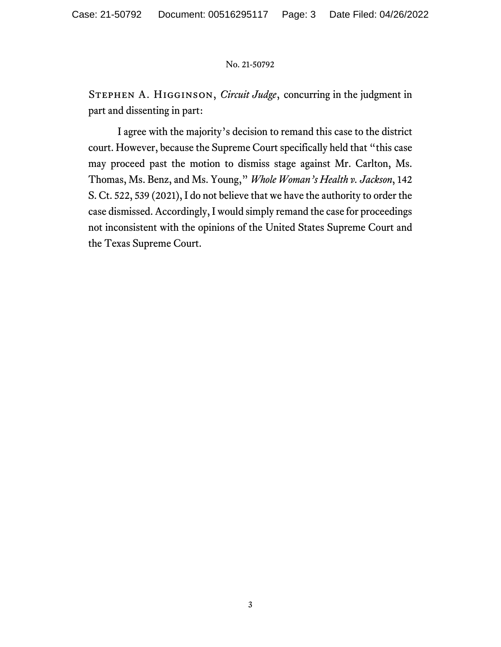## No. 21-50792

Stephen A. Higginson, *Circuit Judge*, concurring in the judgment in part and dissenting in part:

I agree with the majority's decision to remand this case to the district court. However, because the Supreme Court specifically held that "this case may proceed past the motion to dismiss stage against Mr. Carlton, Ms. Thomas, Ms. Benz, and Ms. Young," *Whole Woman's Health v. Jackson*, 142 S. Ct. 522, 539 (2021), I do not believe that we have the authority to order the case dismissed. Accordingly, I would simply remand the case for proceedings not inconsistent with the opinions of the United States Supreme Court and the Texas Supreme Court.